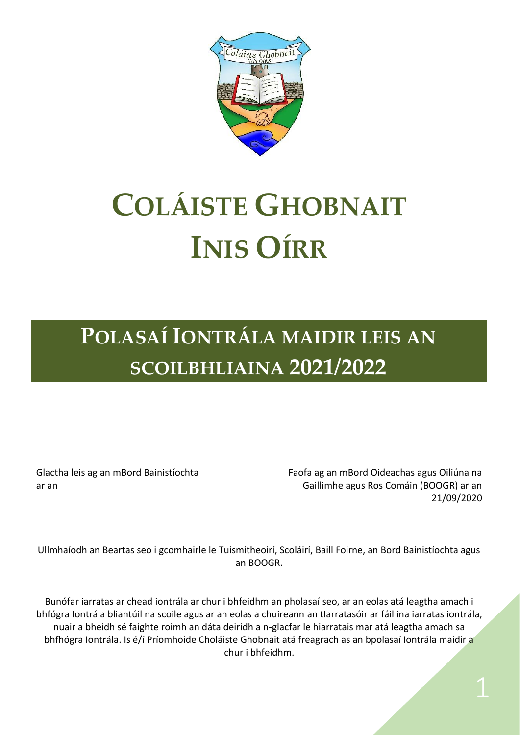

# **COLÁISTE GHOBNAIT INIS OÍRR**

**POLASAÍ IONTRÁLA MAIDIR LEIS AN SCOILBHLIAINA 2021/2022**

Glactha leis ag an mBord Bainistíochta ar an

Faofa ag an mBord Oideachas agus Oiliúna na Gaillimhe agus Ros Comáin (BOOGR) ar an 21/09/2020

Ullmhaíodh an Beartas seo i gcomhairle le Tuismitheoirí, Scoláirí, Baill Foirne, an Bord Bainistíochta agus an BOOGR.

Bunófar iarratas ar chead iontrála ar chur i bhfeidhm an pholasaí seo, ar an eolas atá leagtha amach i bhfógra Iontrála bliantúil na scoile agus ar an eolas a chuireann an tIarratasóir ar fáil ina iarratas iontrála, nuair a bheidh sé faighte roimh an dáta deiridh a n-glacfar le hiarratais mar atá leagtha amach sa bhfhógra Iontrála. Is é/í Príomhoide Choláiste Ghobnait atá freagrach as an bpolasaí Iontrála maidir a chur i bhfeidhm.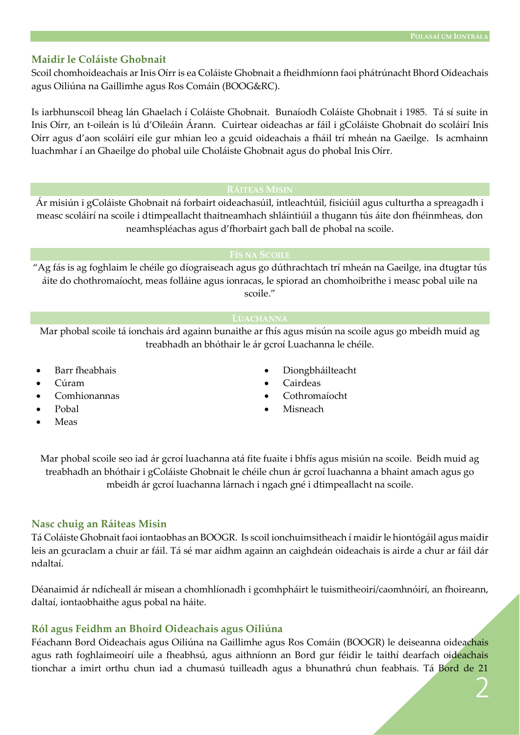#### **Maidir le Coláiste Ghobnait**

Scoil chomhoideachais ar Inis Oírr is ea Coláiste Ghobnait a fheidhmíonn faoi phátrúnacht Bhord Oideachais agus Oiliúna na Gaillimhe agus Ros Comáin (BOOG&RC).

Is iarbhunscoil bheag lán Ghaelach í Coláiste Ghobnait. Bunaíodh Coláiste Ghobnait i 1985. Tá sí suite in Inis Oírr, an t-oileán is lú d'Oileáin Árann. Cuirtear oideachas ar fáil i gColáiste Ghobnait do scoláirí Inis Oírr agus d'aon scoláirí eile gur mhian leo a gcuid oideachais a fháil trí mheán na Gaeilge. Is acmhainn luachmhar í an Ghaeilge do phobal uile Choláiste Ghobnait agus do phobal Inis Oírr.

Ár misiún i gColáiste Ghobnait ná forbairt oideachasúil, intleachtúil, fisiciúil agus culturtha a spreagadh i measc scoláirí na scoile i dtimpeallacht thaitneamhach shláintiúil a thugann tús áite don fhéinmheas, don neamhspléachas agus d'fhorbairt gach ball de phobal na scoile.

#### **FÍS NA SCOILE**

"Ag fás is ag foghlaim le chéile go díograiseach agus go dúthrachtach trí mheán na Gaeilge, ina dtugtar tús áite do chothromaíocht, meas folláine agus ionracas, le spiorad an chomhoibrithe i measc pobal uile na scoile."

Mar phobal scoile tá ionchais árd againn bunaithe ar fhís agus misún na scoile agus go mbeidh muid ag treabhadh an bhóthair le ár gcroí Luachanna le chéile.

- Barr fheabhais
- Cúram
- Comhionannas
- Pobal
- Meas
- Diongbháilteacht
- Cairdeas
- Cothromaíocht
- Misneach

Mar phobal scoile seo iad ár gcroí luachanna atá fite fuaite i bhfís agus misiún na scoile. Beidh muid ag treabhadh an bhóthair i gColáiste Ghobnait le chéile chun ár gcroí luachanna a bhaint amach agus go mbeidh ár gcroí luachanna lárnach i ngach gné i dtimpeallacht na scoile.

#### **Nasc chuig an Ráiteas Misin**

Tá Coláiste Ghobnait faoi iontaobhas an BOOGR. Is scoil ionchuimsitheach í maidir le hiontógáil agus maidir leis an gcuraclam a chuir ar fáil. Tá sé mar aidhm againn an caighdeán oideachais is airde a chur ar fáil dár ndaltaí.

Déanaimid ár ndícheall ár misean a chomhlíonadh i gcomhpháirt le tuismitheoirí/caomhnóirí, an fhoireann, daltaí, iontaobhaithe agus pobal na háite.

#### **Ról agus Feidhm an Bhoird Oideachais agus Oiliúna**

Féachann Bord Oideachais agus Oiliúna na Gaillimhe agus Ros Comáin (BOOGR) le deiseanna oideachais agus rath foghlaimeoirí uile a fheabhsú, agus aithníonn an Bord gur féidir le taithí dearfach oideachais tionchar a imirt orthu chun iad a chumasú tuilleadh agus a bhunathrú chun feabhais. Tá Bord de 21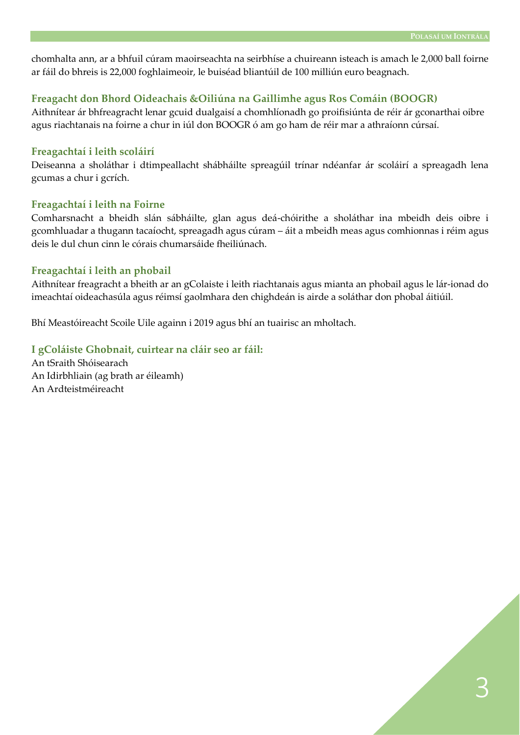chomhalta ann, ar a bhfuil cúram maoirseachta na seirbhíse a chuireann isteach is amach le 2,000 ball foirne ar fáil do bhreis is 22,000 foghlaimeoir, le buiséad bliantúil de 100 milliún euro beagnach.

#### **Freagacht don Bhord Oideachais &Oiliúna na Gaillimhe agus Ros Comáin (BOOGR)**

Aithnítear ár bhfreagracht lenar gcuid dualgaisí a chomhlíonadh go proifisiúnta de réir ár gconarthai oibre agus riachtanais na foirne a chur in iúl don BOOGR ó am go ham de réir mar a athraíonn cúrsaí.

#### **Freagachtaí i leith scoláirí**

Deiseanna a sholáthar i dtimpeallacht shábháilte spreagúil trínar ndéanfar ár scoláirí a spreagadh lena gcumas a chur i gcrích.

#### **Freagachtaí i leith na Foirne**

Comharsnacht a bheidh slán sábháilte, glan agus deá-chóirithe a sholáthar ina mbeidh deis oibre i gcomhluadar a thugann tacaíocht, spreagadh agus cúram – áit a mbeidh meas agus comhionnas i réim agus deis le dul chun cinn le córais chumarsáide fheiliúnach.

#### **Freagachtaí i leith an phobail**

Aithnítear freagracht a bheith ar an gColaiste i leith riachtanais agus mianta an phobail agus le lár-ionad do imeachtaí oideachasúla agus réimsí gaolmhara den chighdeán is airde a soláthar don phobal áitiúil.

Bhí Meastóireacht Scoile Uile againn i 2019 agus bhí an tuairisc an mholtach.

#### **I gColáiste Ghobnait, cuirtear na cláir seo ar fáil:**

An tSraith Shóisearach An Idirbhliain (ag brath ar éileamh) An Ardteistméireacht

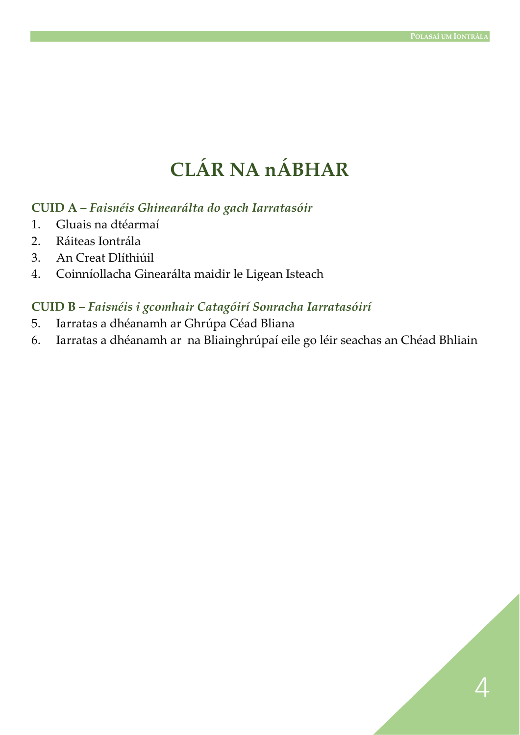## **CLÁR NA nÁBHAR**

#### **CUID A –** *Faisnéis Ghinearálta do gach Iarratasóir*

- 1. Gluais na dtéarmaí
- 2. Ráiteas Iontrála
- 3. An Creat Dlíthiúil
- 4. Coinníollacha Ginearálta maidir le Ligean Isteach

#### **CUID B –** *Faisnéis i gcomhair Catagóirí Sonracha Iarratasóirí*

- 5. Iarratas a dhéanamh ar Ghrúpa Céad Bliana
- 6. Iarratas a dhéanamh ar na Bliainghrúpaí eile go léir seachas an Chéad Bhliain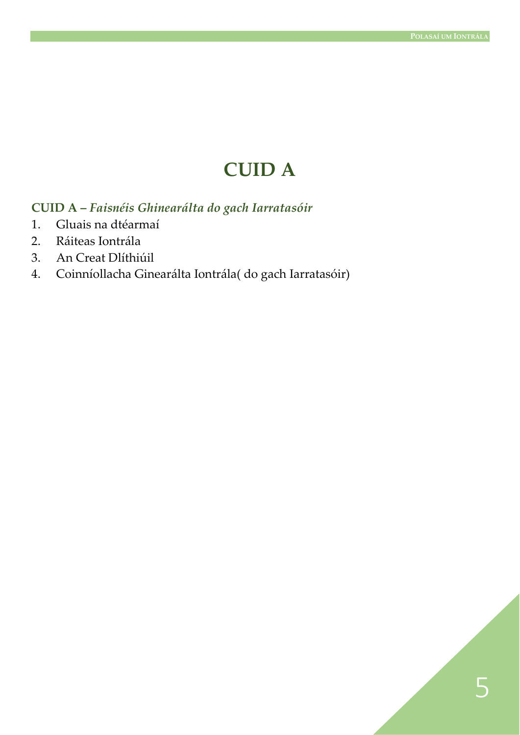## **CUID A**

#### **CUID A –** *Faisnéis Ghinearálta do gach Iarratasóir*

- 1. Gluais na dtéarmaí
- 2. Ráiteas Iontrála
- 3. An Creat Dlíthiúil
- 4. Coinníollacha Ginearálta Iontrála( do gach Iarratasóir)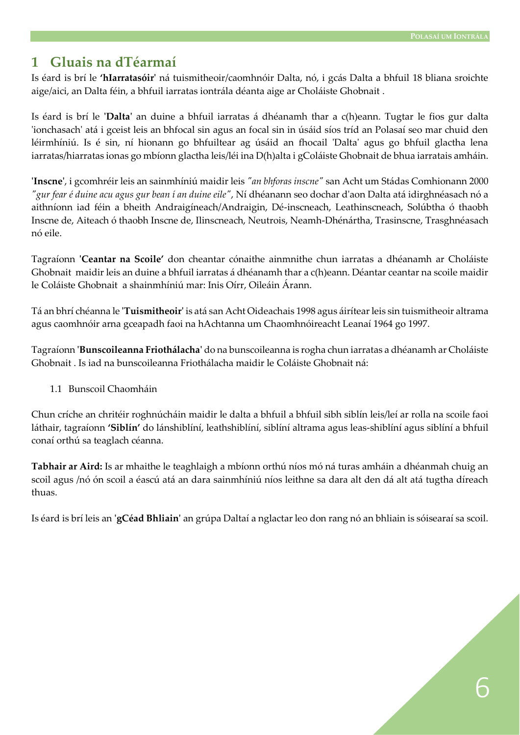#### **1 Gluais na dTéarmaí**

Is éard is brí le **'hIarratasóir'** ná tuismitheoir/caomhnóir Dalta, nó, i gcás Dalta a bhfuil 18 bliana sroichte aige/aici, an Dalta féin, a bhfuil iarratas iontrála déanta aige ar Choláiste Ghobnait .

Is éard is brí le **'Dalta'** an duine a bhfuil iarratas á dhéanamh thar a c(h)eann. Tugtar le fios gur dalta 'ionchasach' atá i gceist leis an bhfocal sin agus an focal sin in úsáid síos tríd an Polasaí seo mar chuid den léirmhíniú. Is é sin, ní hionann go bhfuiltear ag úsáid an fhocail 'Dalta' agus go bhfuil glactha lena iarratas/hiarratas ionas go mbíonn glactha leis/léi ina D(h)alta i gColáiste Ghobnait de bhua iarratais amháin.

**'Inscne'**, i gcomhréir leis an sainmhíniú maidir leis *"an bhforas inscne"* san Acht um Stádas Comhionann 2000 *"gur fear é duine acu agus gur bean í an duine eile"*, Ní dhéanann seo dochar d'aon Dalta atá idirghnéasach nó a aithníonn iad féin a bheith Andraigíneach/Andraigin, Dé-inscneach, Leathinscneach, Solúbtha ó thaobh Inscne de, Aiteach ó thaobh Inscne de, Ilinscneach, Neutrois, Neamh-Dhénártha, Trasinscne, Trasghnéasach nó eile.

Tagraíonn **'Ceantar na Scoile'** don cheantar cónaithe ainmnithe chun iarratas a dhéanamh ar Choláiste Ghobnait maidir leis an duine a bhfuil iarratas á dhéanamh thar a c(h)eann. Déantar ceantar na scoile maidir le Coláiste Ghobnait a shainmhíniú mar: Inis Oírr, Oileáin Árann.

Tá an bhrí chéanna le **'Tuismitheoir'** is atá san Acht Oideachais 1998 agus áirítear leis sin tuismitheoir altrama agus caomhnóir arna gceapadh faoi na hAchtanna um Chaomhnóireacht Leanaí 1964 go 1997.

Tagraíonn **'Bunscoileanna Friothálacha'** do na bunscoileanna is rogha chun iarratas a dhéanamh ar Choláiste Ghobnait . Is iad na bunscoileanna Friothálacha maidir le Coláiste Ghobnait ná:

#### 1.1 Bunscoil Chaomháin

Chun críche an chritéir roghnúcháin maidir le dalta a bhfuil a bhfuil sibh siblín leis/leí ar rolla na scoile faoi láthair, tagraíonn **'Siblín'** do lánshiblíní, leathshiblíní, siblíní altrama agus leas-shiblíní agus siblíní a bhfuil conaí orthú sa teaglach céanna.

**Tabhair ar Aird:** Is ar mhaithe le teaghlaigh a mbíonn orthú níos mó ná turas amháin a dhéanmah chuig an scoil agus /nó ón scoil a éascú atá an dara sainmhíniú níos leithne sa dara alt den dá alt atá tugtha díreach thuas.

Is éard is brí leis an **'gCéad Bhliain'** an grúpa Daltaí a nglactar leo don rang nó an bhliain is sóisearaí sa scoil.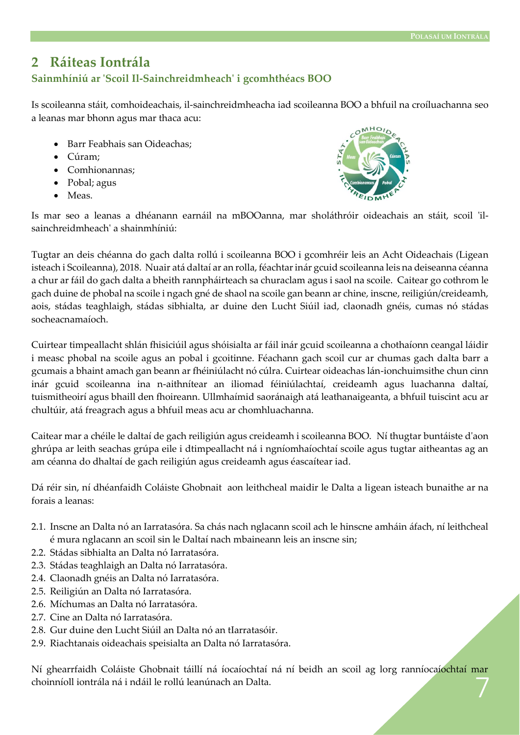#### **2 Ráiteas Iontrála**

#### **Sainmhíniú ar 'Scoil Il-Sainchreidmheach' i gcomhthéacs BOO**

Is scoileanna stáit, comhoideachais, il-sainchreidmheacha iad scoileanna BOO a bhfuil na croíluachanna seo a leanas mar bhonn agus mar thaca acu:

- Barr Feabhais san Oideachas;
- Cúram;
- Comhionannas;
- Pobal; agus
- Meas.



Is mar seo a leanas a dhéanann earnáil na mBOOanna, mar sholáthróir oideachais an stáit, scoil 'ilsainchreidmheach' a shainmhíniú:

Tugtar an deis chéanna do gach dalta rollú i scoileanna BOO i gcomhréir leis an Acht Oideachais (Ligean isteach i Scoileanna), 2018. Nuair atá daltaí ar an rolla, féachtar inár gcuid scoileanna leis na deiseanna céanna a chur ar fáil do gach dalta a bheith rannpháirteach sa churaclam agus i saol na scoile. Caitear go cothrom le gach duine de phobal na scoile i ngach gné de shaol na scoile gan beann ar chine, inscne, reiligiún/creideamh, aois, stádas teaghlaigh, stádas sibhialta, ar duine den Lucht Siúil iad, claonadh gnéis, cumas nó stádas socheacnamaíoch.

Cuirtear timpeallacht shlán fhisiciúil agus shóisialta ar fáil inár gcuid scoileanna a chothaíonn ceangal láidir i measc phobal na scoile agus an pobal i gcoitinne. Féachann gach scoil cur ar chumas gach dalta barr a gcumais a bhaint amach gan beann ar fhéiniúlacht nó cúlra. Cuirtear oideachas lán-ionchuimsithe chun cinn inár gcuid scoileanna ina n-aithnítear an iliomad féiniúlachtaí, creideamh agus luachanna daltaí, tuismitheoirí agus bhaill den fhoireann. Ullmhaímid saoránaigh atá leathanaigeanta, a bhfuil tuiscint acu ar chultúir, atá freagrach agus a bhfuil meas acu ar chomhluachanna.

Caitear mar a chéile le daltaí de gach reiligiún agus creideamh i scoileanna BOO. Ní thugtar buntáiste d'aon ghrúpa ar leith seachas grúpa eile i dtimpeallacht ná i ngníomhaíochtaí scoile agus tugtar aitheantas ag an am céanna do dhaltaí de gach reiligiún agus creideamh agus éascaítear iad.

Dá réir sin, ní dhéanfaidh Coláiste Ghobnait aon leithcheal maidir le Dalta a ligean isteach bunaithe ar na forais a leanas:

- 2.1. Inscne an Dalta nó an Iarratasóra. Sa chás nach nglacann scoil ach le hinscne amháin áfach, ní leithcheal é mura nglacann an scoil sin le Daltaí nach mbaineann leis an inscne sin;
- 2.2. Stádas sibhialta an Dalta nó Iarratasóra.
- 2.3. Stádas teaghlaigh an Dalta nó Iarratasóra.
- 2.4. Claonadh gnéis an Dalta nó Iarratasóra.
- 2.5. Reiligiún an Dalta nó Iarratasóra.
- 2.6. Míchumas an Dalta nó Iarratasóra.
- 2.7. Cine an Dalta nó Iarratasóra.
- 2.8. Gur duine den Lucht Siúil an Dalta nó an tIarratasóir.
- 2.9. Riachtanais oideachais speisialta an Dalta nó Iarratasóra.

7 Ní ghearrfaidh Coláiste Ghobnait táillí ná íocaíochtaí ná ní beidh an scoil ag lorg ranníocaíochtaí mar choinníoll iontrála ná i ndáil le rollú leanúnach an Dalta.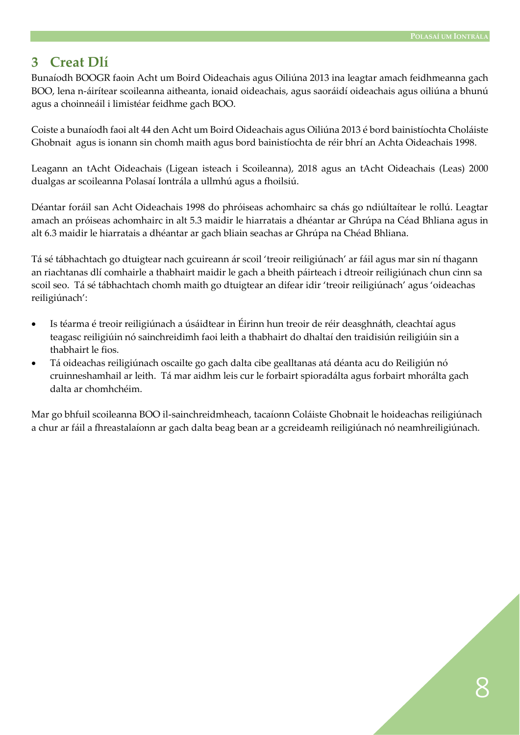#### **3 Creat Dlí**

Bunaíodh BOOGR faoin Acht um Boird Oideachais agus Oiliúna 2013 ina leagtar amach feidhmeanna gach BOO, lena n-áirítear scoileanna aitheanta, ionaid oideachais, agus saoráidí oideachais agus oiliúna a bhunú agus a choinneáil i limistéar feidhme gach BOO.

Coiste a bunaíodh faoi alt 44 den Acht um Boird Oideachais agus Oiliúna 2013 é bord bainistíochta Choláiste Ghobnait agus is ionann sin chomh maith agus bord bainistíochta de réir bhrí an Achta Oideachais 1998.

Leagann an tAcht Oideachais (Ligean isteach i Scoileanna), 2018 agus an tAcht Oideachais (Leas) 2000 dualgas ar scoileanna Polasaí Iontrála a ullmhú agus a fhoilsiú.

Déantar foráil san Acht Oideachais 1998 do phróiseas achomhairc sa chás go ndiúltaítear le rollú. Leagtar amach an próiseas achomhairc in alt 5.3 maidir le hiarratais a dhéantar ar Ghrúpa na Céad Bhliana agus in alt 6.3 maidir le hiarratais a dhéantar ar gach bliain seachas ar Ghrúpa na Chéad Bhliana.

Tá sé tábhachtach go dtuigtear nach gcuireann ár scoil 'treoir reiligiúnach' ar fáil agus mar sin ní thagann an riachtanas dlí comhairle a thabhairt maidir le gach a bheith páirteach i dtreoir reiligiúnach chun cinn sa scoil seo. Tá sé tábhachtach chomh maith go dtuigtear an difear idir 'treoir reiligiúnach' agus 'oideachas reiligiúnach':

- Is téarma é treoir reiligiúnach a úsáidtear in Éirinn hun treoir de réir deasghnáth, cleachtaí agus teagasc reiligiúin nó sainchreidimh faoi leith a thabhairt do dhaltaí den traidisiún reiligiúin sin a thabhairt le fios.
- Tá oideachas reiligiúnach oscailte go gach dalta cibe gealltanas atá déanta acu do Reiligiún nó cruinneshamhail ar leith. Tá mar aidhm leis cur le forbairt spioradálta agus forbairt mhorálta gach dalta ar chomhchéim.

Mar go bhfuil scoileanna BOO il-sainchreidmheach, tacaíonn Coláiste Ghobnait le hoideachas reiligiúnach a chur ar fáil a fhreastalaíonn ar gach dalta beag bean ar a gcreideamh reiligiúnach nó neamhreiligiúnach.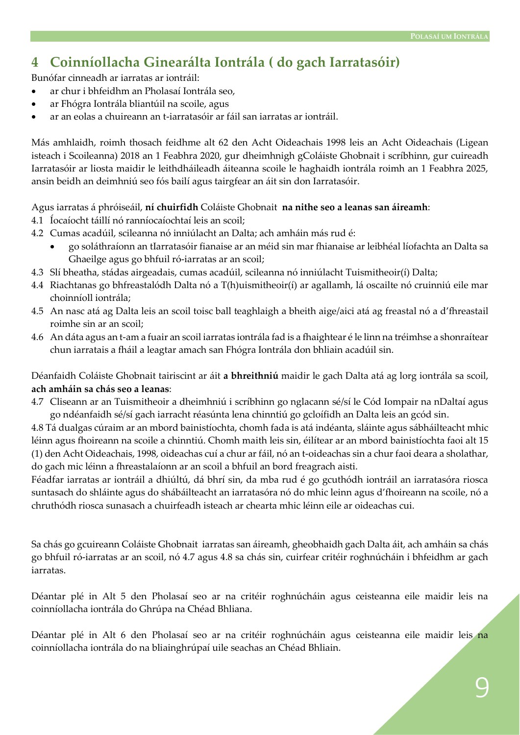#### **4 Coinníollacha Ginearálta Iontrála ( do gach Iarratasóir)**

Bunófar cinneadh ar iarratas ar iontráil:

- ar chur i bhfeidhm an Pholasaí Iontrála seo,
- ar Fhógra Iontrála bliantúil na scoile, agus
- ar an eolas a chuireann an t-iarratasóir ar fáil san iarratas ar iontráil.

Más amhlaidh, roimh thosach feidhme alt 62 den Acht Oideachais 1998 leis an Acht Oideachais (Ligean isteach i Scoileanna) 2018 an 1 Feabhra 2020, gur dheimhnigh gColáiste Ghobnait i scríbhinn, gur cuireadh Iarratasóir ar liosta maidir le leithdháileadh áiteanna scoile le haghaidh iontrála roimh an 1 Feabhra 2025, ansin beidh an deimhniú seo fós bailí agus tairgfear an áit sin don Iarratasóir.

Agus iarratas á phróiseáil, **ní chuirfidh** Coláiste Ghobnait **na nithe seo a leanas san áireamh**:

- 4.1 Íocaíocht táillí nó ranníocaíochtaí leis an scoil;
- 4.2 Cumas acadúil, scileanna nó inniúlacht an Dalta; ach amháin más rud é:
	- go soláthraíonn an tIarratasóir fianaise ar an méid sin mar fhianaise ar leibhéal líofachta an Dalta sa Ghaeilge agus go bhfuil ró-iarratas ar an scoil;
- 4.3 Slí bheatha, stádas airgeadais, cumas acadúil, scileanna nó inniúlacht Tuismitheoir(í) Dalta;
- 4.4 Riachtanas go bhfreastalódh Dalta nó a T(h)uismitheoir(í) ar agallamh, lá oscailte nó cruinniú eile mar choinníoll iontrála;
- 4.5 An nasc atá ag Dalta leis an scoil toisc ball teaghlaigh a bheith aige/aici atá ag freastal nó a d'fhreastail roimhe sin ar an scoil;
- 4.6 An dáta agus an t-am a fuair an scoil iarratas iontrála fad is a fhaightear é le linn na tréimhse a shonraítear chun iarratais a fháil a leagtar amach san Fhógra Iontrála don bhliain acadúil sin.

Déanfaidh Coláiste Ghobnait tairiscint ar áit **a bhreithniú** maidir le gach Dalta atá ag lorg iontrála sa scoil, **ach amháin sa chás seo a leanas**:

4.7 Cliseann ar an Tuismitheoir a dheimhniú i scríbhinn go nglacann sé/sí le Cód Iompair na nDaltaí agus go ndéanfaidh sé/sí gach iarracht réasúnta lena chinntiú go gcloífidh an Dalta leis an gcód sin.

4.8 Tá dualgas cúraim ar an mbord bainistíochta, chomh fada is atá indéanta, sláinte agus sábháilteacht mhic léinn agus fhoireann na scoile a chinntiú. Chomh maith leis sin, éilítear ar an mbord bainistíochta faoi alt 15 (1) den Acht Oideachais, 1998, oideachas cuí a chur ar fáil, nó an t-oideachas sin a chur faoi deara a sholathar, do gach mic léinn a fhreastalaíonn ar an scoil a bhfuil an bord freagrach aisti.

Féadfar iarratas ar iontráil a dhiúltú, dá bhrí sin, da mba rud é go gcuthódh iontráil an iarratasóra riosca suntasach do shláinte agus do shábáilteacht an iarratasóra nó do mhic leinn agus d'fhoireann na scoile, nó a chruthódh riosca sunasach a chuirfeadh isteach ar chearta mhic léinn eile ar oideachas cui.

Sa chás go gcuireann Coláiste Ghobnait iarratas san áireamh, gheobhaidh gach Dalta áit, ach amháin sa chás go bhfuil ró-iarratas ar an scoil, nó 4.7 agus 4.8 sa chás sin, cuirfear critéir roghnúcháin i bhfeidhm ar gach iarratas.

Déantar plé in Alt 5 den Pholasaí seo ar na critéir roghnúcháin agus ceisteanna eile maidir leis na coinníollacha iontrála do Ghrúpa na Chéad Bhliana.

Déantar plé in Alt 6 den Pholasaí seo ar na critéir roghnúcháin agus ceisteanna eile maidir leis na coinníollacha iontrála do na bliainghrúpaí uile seachas an Chéad Bhliain.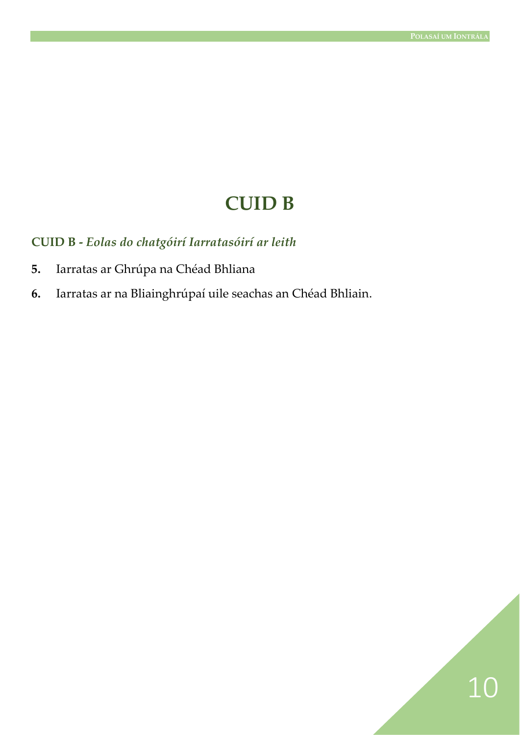10

### **CUID B**

**CUID B -** *Eolas do chatgóirí Iarratasóirí ar leith*

- **5.** Iarratas ar Ghrúpa na Chéad Bhliana
- **6.** Iarratas ar na Bliainghrúpaí uile seachas an Chéad Bhliain.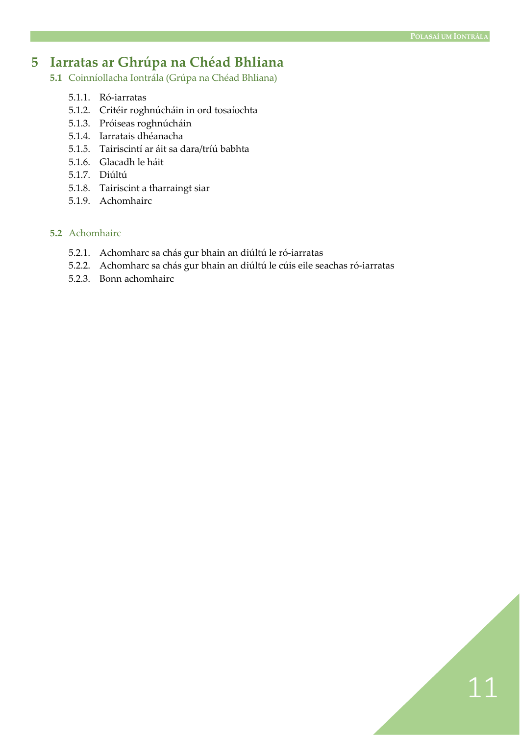11

#### **5 Iarratas ar Ghrúpa na Chéad Bhliana**

- **5.1** Coinníollacha Iontrála (Grúpa na Chéad Bhliana)
	- 5.1.1. Ró-iarratas
	- 5.1.2. Critéir roghnúcháin in ord tosaíochta
	- 5.1.3. Próiseas roghnúcháin
	- 5.1.4. Iarratais dhéanacha
	- 5.1.5. Tairiscintí ar áit sa dara/tríú babhta
	- 5.1.6. Glacadh le háit
	- 5.1.7. Diúltú
	- 5.1.8. Tairiscint a tharraingt siar
	- 5.1.9. Achomhairc

#### **5.2** Achomhairc

- 5.2.1. Achomharc sa chás gur bhain an diúltú le ró-iarratas
- 5.2.2. Achomharc sa chás gur bhain an diúltú le cúis eile seachas ró-iarratas
- 5.2.3. Bonn achomhairc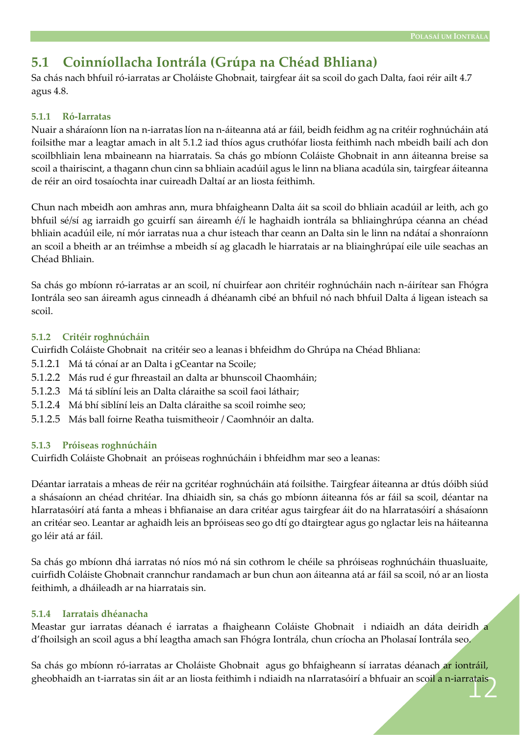#### **5.1 Coinníollacha Iontrála (Grúpa na Chéad Bhliana)**

Sa chás nach bhfuil ró-iarratas ar Choláiste Ghobnait, tairgfear áit sa scoil do gach Dalta, faoi réir ailt 4.7 agus 4.8.

#### **5.1.1 Ró-Iarratas**

Nuair a sháraíonn líon na n-iarratas líon na n-áiteanna atá ar fáil, beidh feidhm ag na critéir roghnúcháin atá foilsithe mar a leagtar amach in alt 5.1.2 iad thíos agus cruthófar liosta feithimh nach mbeidh bailí ach don scoilbhliain lena mbaineann na hiarratais. Sa chás go mbíonn Coláiste Ghobnait in ann áiteanna breise sa scoil a thairiscint, a thagann chun cinn sa bhliain acadúil agus le linn na bliana acadúla sin, tairgfear áiteanna de réir an oird tosaíochta inar cuireadh Daltaí ar an liosta feithimh.

Chun nach mbeidh aon amhras ann, mura bhfaigheann Dalta áit sa scoil do bhliain acadúil ar leith, ach go bhfuil sé/sí ag iarraidh go gcuirfí san áireamh é/í le haghaidh iontrála sa bhliainghrúpa céanna an chéad bhliain acadúil eile, ní mór iarratas nua a chur isteach thar ceann an Dalta sin le linn na ndátaí a shonraíonn an scoil a bheith ar an tréimhse a mbeidh sí ag glacadh le hiarratais ar na bliainghrúpaí eile uile seachas an Chéad Bhliain.

Sa chás go mbíonn ró-iarratas ar an scoil, ní chuirfear aon chritéir roghnúcháin nach n-áirítear san Fhógra Iontrála seo san áireamh agus cinneadh á dhéanamh cibé an bhfuil nó nach bhfuil Dalta á ligean isteach sa scoil.

#### **5.1.2 Critéir roghnúcháin**

Cuirfidh Coláiste Ghobnait na critéir seo a leanas i bhfeidhm do Ghrúpa na Chéad Bhliana:

- 5.1.2.1 Má tá cónaí ar an Dalta i gCeantar na Scoile;
- 5.1.2.2 Más rud é gur fhreastail an dalta ar bhunscoil Chaomháin;
- 5.1.2.3 Má tá siblíní leis an Dalta cláraithe sa scoil faoi láthair;
- 5.1.2.4 Má bhí siblíní leis an Dalta cláraithe sa scoil roimhe seo;
- 5.1.2.5 Más ball foirne Reatha tuismitheoir / Caomhnóir an dalta.

#### **5.1.3 Próiseas roghnúcháin**

Cuirfidh Coláiste Ghobnait an próiseas roghnúcháin i bhfeidhm mar seo a leanas:

Déantar iarratais a mheas de réir na gcritéar roghnúcháin atá foilsithe. Tairgfear áiteanna ar dtús dóibh siúd a shásaíonn an chéad chritéar. Ina dhiaidh sin, sa chás go mbíonn áiteanna fós ar fáil sa scoil, déantar na hIarratasóirí atá fanta a mheas i bhfianaise an dara critéar agus tairgfear áit do na hIarratasóirí a shásaíonn an critéar seo. Leantar ar aghaidh leis an bpróiseas seo go dtí go dtairgtear agus go nglactar leis na háiteanna go léir atá ar fáil.

Sa chás go mbíonn dhá iarratas nó níos mó ná sin cothrom le chéile sa phróiseas roghnúcháin thuasluaite, cuirfidh Coláiste Ghobnait crannchur randamach ar bun chun aon áiteanna atá ar fáil sa scoil, nó ar an liosta feithimh, a dháileadh ar na hiarratais sin.

#### **5.1.4 Iarratais dhéanacha**

Meastar gur iarratas déanach é iarratas a fhaigheann Coláiste Ghobnait i ndiaidh an dáta deiridh a d'fhoilsigh an scoil agus a bhí leagtha amach san Fhógra Iontrála, chun críocha an Pholasaí Iontrála seo.

12 gheobhaidh an t-iarratas sin áit ar an liosta feithimh i ndiaidh na nIarratasóirí a bhfuair an scoil a n-iarratais Sa chás go mbíonn ró-iarratas ar Choláiste Ghobnait agus go bhfaigheann sí iarratas déanach ar iontráil,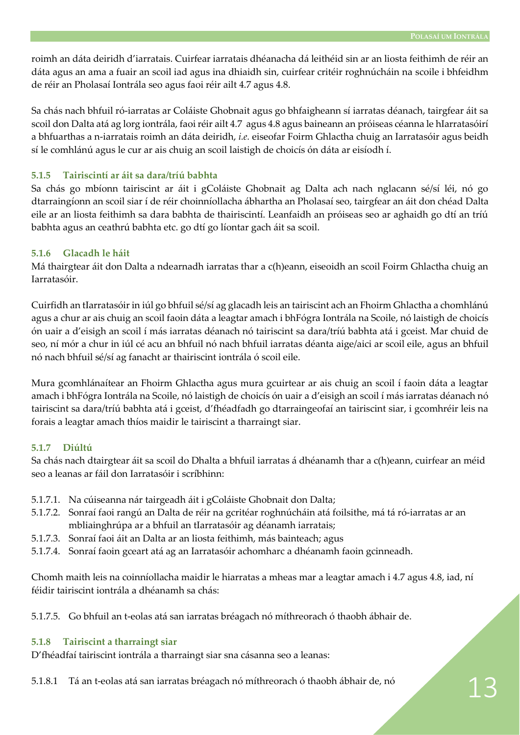roimh an dáta deiridh d'iarratais. Cuirfear iarratais dhéanacha dá leithéid sin ar an liosta feithimh de réir an dáta agus an ama a fuair an scoil iad agus ina dhiaidh sin, cuirfear critéir roghnúcháin na scoile i bhfeidhm de réir an Pholasaí Iontrála seo agus faoi réir ailt 4.7 agus 4.8.

Sa chás nach bhfuil ró-iarratas ar Coláiste Ghobnait agus go bhfaigheann sí iarratas déanach, tairgfear áit sa scoil don Dalta atá ag lorg iontrála, faoi réir ailt 4.7 agus 4.8 agus baineann an próiseas céanna le hIarratasóirí a bhfuarthas a n-iarratais roimh an dáta deiridh, *i.e.* eiseofar Foirm Ghlactha chuig an Iarratasóir agus beidh sí le comhlánú agus le cur ar ais chuig an scoil laistigh de choicís ón dáta ar eisíodh í.

#### **5.1.5 Tairiscintí ar áit sa dara/tríú babhta**

Sa chás go mbíonn tairiscint ar áit i gColáiste Ghobnait ag Dalta ach nach nglacann sé/sí léi, nó go dtarraingíonn an scoil siar í de réir choinníollacha ábhartha an Pholasaí seo, tairgfear an áit don chéad Dalta eile ar an liosta feithimh sa dara babhta de thairiscintí. Leanfaidh an próiseas seo ar aghaidh go dtí an tríú babhta agus an ceathrú babhta etc. go dtí go líontar gach áit sa scoil.

#### **5.1.6 Glacadh le háit**

Má thairgtear áit don Dalta a ndearnadh iarratas thar a c(h)eann, eiseoidh an scoil Foirm Ghlactha chuig an Iarratasóir.

Cuirfidh an tIarratasóir in iúl go bhfuil sé/sí ag glacadh leis an tairiscint ach an Fhoirm Ghlactha a chomhlánú agus a chur ar ais chuig an scoil faoin dáta a leagtar amach i bhFógra Iontrála na Scoile, nó laistigh de choicís ón uair a d'eisigh an scoil í más iarratas déanach nó tairiscint sa dara/tríú babhta atá i gceist. Mar chuid de seo, ní mór a chur in iúl cé acu an bhfuil nó nach bhfuil iarratas déanta aige/aici ar scoil eile, agus an bhfuil nó nach bhfuil sé/sí ag fanacht ar thairiscint iontrála ó scoil eile.

Mura gcomhlánaítear an Fhoirm Ghlactha agus mura gcuirtear ar ais chuig an scoil í faoin dáta a leagtar amach i bhFógra Iontrála na Scoile, nó laistigh de choicís ón uair a d'eisigh an scoil í más iarratas déanach nó tairiscint sa dara/tríú babhta atá i gceist, d'fhéadfadh go dtarraingeofaí an tairiscint siar, i gcomhréir leis na forais a leagtar amach thíos maidir le tairiscint a tharraingt siar.

#### **5.1.7 Diúltú**

Sa chás nach dtairgtear áit sa scoil do Dhalta a bhfuil iarratas á dhéanamh thar a c(h)eann, cuirfear an méid seo a leanas ar fáil don Iarratasóir i scríbhinn:

- 5.1.7.1. Na cúiseanna nár tairgeadh áit i gColáiste Ghobnait don Dalta;
- 5.1.7.2. Sonraí faoi rangú an Dalta de réir na gcritéar roghnúcháin atá foilsithe, má tá ró-iarratas ar an mbliainghrúpa ar a bhfuil an tIarratasóir ag déanamh iarratais;
- 5.1.7.3. Sonraí faoi áit an Dalta ar an liosta feithimh, más bainteach; agus
- 5.1.7.4. Sonraí faoin gceart atá ag an Iarratasóir achomharc a dhéanamh faoin gcinneadh.

Chomh maith leis na coinníollacha maidir le hiarratas a mheas mar a leagtar amach i 4.7 agus 4.8, iad, ní féidir tairiscint iontrála a dhéanamh sa chás:

5.1.7.5. Go bhfuil an t-eolas atá san iarratas bréagach nó míthreorach ó thaobh ábhair de.

#### **5.1.8 Tairiscint a tharraingt siar**

D'fhéadfaí tairiscint iontrála a tharraingt siar sna cásanna seo a leanas:

5.1.8.1 Tá an t-eolas atá san iarratas bréagach nó míthreorach ó thaobh ábhair de, nó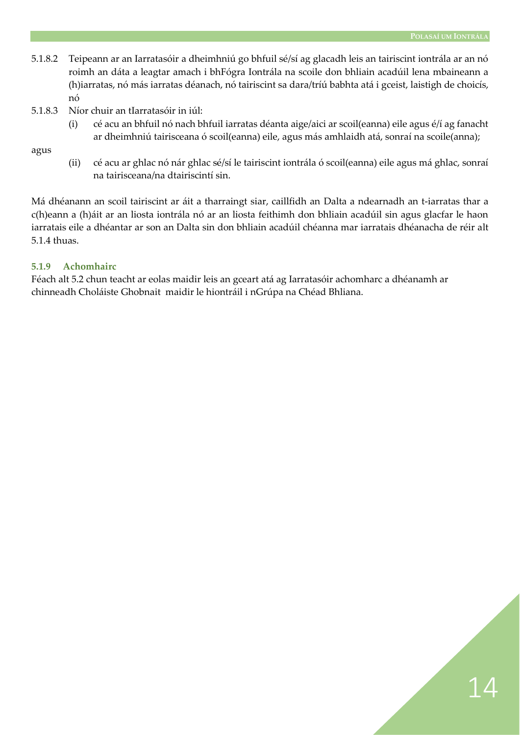- 5.1.8.2 Teipeann ar an Iarratasóir a dheimhniú go bhfuil sé/sí ag glacadh leis an tairiscint iontrála ar an nó roimh an dáta a leagtar amach i bhFógra Iontrála na scoile don bhliain acadúil lena mbaineann a (h)iarratas, nó más iarratas déanach, nó tairiscint sa dara/tríú babhta atá i gceist, laistigh de choicís, nó
- 5.1.8.3 Níor chuir an tIarratasóir in iúl:
	- (i) cé acu an bhfuil nó nach bhfuil iarratas déanta aige/aici ar scoil(eanna) eile agus é/í ag fanacht ar dheimhniú tairisceana ó scoil(eanna) eile, agus más amhlaidh atá, sonraí na scoile(anna);

agus

(ii) cé acu ar ghlac nó nár ghlac sé/sí le tairiscint iontrála ó scoil(eanna) eile agus má ghlac, sonraí na tairisceana/na dtairiscintí sin.

Má dhéanann an scoil tairiscint ar áit a tharraingt siar, caillfidh an Dalta a ndearnadh an t-iarratas thar a c(h)eann a (h)áit ar an liosta iontrála nó ar an liosta feithimh don bhliain acadúil sin agus glacfar le haon iarratais eile a dhéantar ar son an Dalta sin don bhliain acadúil chéanna mar iarratais dhéanacha de réir alt 5.1.4 thuas.

#### **5.1.9 Achomhairc**

Féach alt 5.2 chun teacht ar eolas maidir leis an gceart atá ag Iarratasóir achomharc a dhéanamh ar chinneadh Choláiste Ghobnait maidir le hiontráil i nGrúpa na Chéad Bhliana.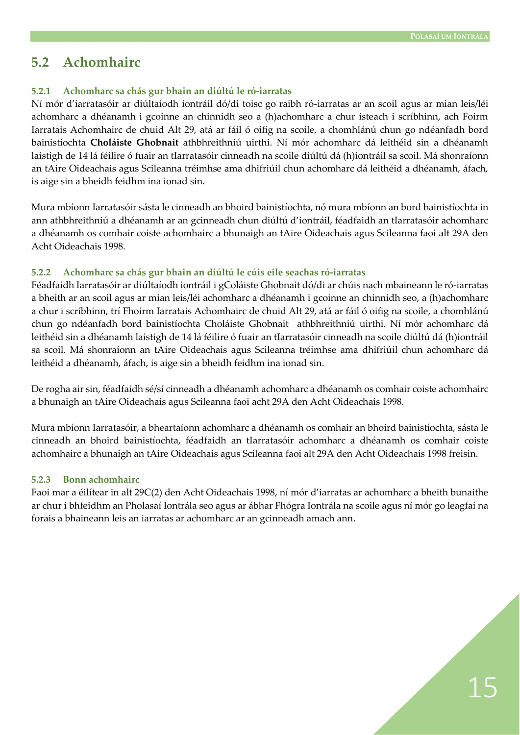#### **5.2 Achomhairc**

#### **5.2.1 Achomharc sa chás gur bhain an diúltú le ró-iarratas**

Ní mór d'iarratasóir ar diúltaíodh iontráil dó/di toisc go raibh ró-iarratas ar an scoil agus ar mian leis/léi achomharc a dhéanamh i gcoinne an chinnidh seo a (h)achomharc a chur isteach i scríbhinn, ach Foirm Iarratais Achomhairc de chuid Alt 29, atá ar fáil ó oifig na scoile, a chomhlánú chun go ndéanfadh bord bainistíochta **Choláiste Ghobnait** athbhreithniú uirthi. Ní mór achomharc dá leithéid sin a dhéanamh laistigh de 14 lá féilire ó fuair an tIarratasóir cinneadh na scoile diúltú dá (h)iontráil sa scoil. Má shonraíonn an tAire Oideachais agus Scileanna tréimhse ama dhifriúil chun achomharc dá leithéid a dhéanamh, áfach, is aige sin a bheidh feidhm ina ionad sin.

Mura mbíonn Iarratasóir sásta le cinneadh an bhoird bainistíochta, nó mura mbíonn an bord bainistíochta in ann athbhreithniú a dhéanamh ar an gcinneadh chun diúltú d'iontráil, féadfaidh an tIarratasóir achomharc a dhéanamh os comhair coiste achomhairc a bhunaigh an tAire Oideachais agus Scileanna faoi alt 29A den Acht Oideachais 1998.

#### **5.2.2 Achomharc sa chás gur bhain an diúltú le cúis eile seachas ró-iarratas**

Féadfaidh Iarratasóir ar diúltaíodh iontráil i gColáiste Ghobnait dó/di ar chúis nach mbaineann le ró-iarratas a bheith ar an scoil agus ar mian leis/léi achomharc a dhéanamh i gcoinne an chinnidh seo, a (h)achomharc a chur i scríbhinn, trí Fhoirm Iarratais Achomhairc de chuid Alt 29, atá ar fáil ó oifig na scoile, a chomhlánú chun go ndéanfadh bord bainistíochta Choláiste Ghobnait athbhreithniú uirthi. Ní mór achomharc dá leithéid sin a dhéanamh laistigh de 14 lá féilire ó fuair an tIarratasóir cinneadh na scoile diúltú dá (h)iontráil sa scoil. Má shonraíonn an tAire Oideachais agus Scileanna tréimhse ama dhifriúil chun achomharc dá leithéid a dhéanamh, áfach, is aige sin a bheidh feidhm ina ionad sin.

De rogha air sin, féadfaidh sé/sí cinneadh a dhéanamh achomharc a dhéanamh os comhair coiste achomhairc a bhunaigh an tAire Oideachais agus Scileanna faoi acht 29A den Acht Oideachais 1998.

Mura mbíonn Iarratasóir, a bheartaíonn achomharc a dhéanamh os comhair an bhoird bainistíochta, sásta le cinneadh an bhoird bainistíochta, féadfaidh an tIarratasóir achomharc a dhéanamh os comhair coiste achomhairc a bhunaigh an tAire Oideachais agus Scileanna faoi alt 29A den Acht Oideachais 1998 freisin.

#### **5.2.3 Bonn achomhairc**

Faoi mar a éilítear in alt 29C(2) den Acht Oideachais 1998, ní mór d'iarratas ar achomharc a bheith bunaithe ar chur i bhfeidhm an Pholasaí Iontrála seo agus ar ábhar Fhógra Iontrála na scoile agus ní mór go leagfaí na forais a bhaineann leis an iarratas ar achomharc ar an gcinneadh amach ann.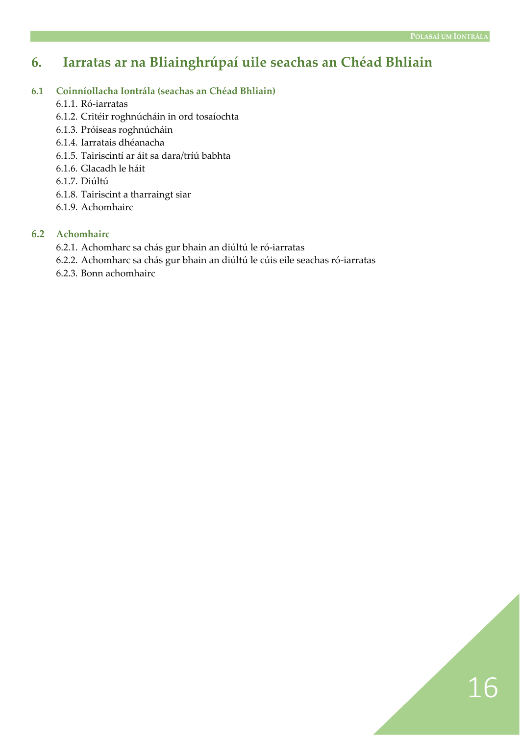### **6. Iarratas ar na Bliainghrúpaí uile seachas an Chéad Bhliain**

#### **6.1 Coinníollacha Iontrála (seachas an Chéad Bhliain)**

- 6.1.1. Ró-iarratas
- 6.1.2. Critéir roghnúcháin in ord tosaíochta
- 6.1.3. Próiseas roghnúcháin
- 6.1.4. Iarratais dhéanacha
- 6.1.5. Tairiscintí ar áit sa dara/tríú babhta
- 6.1.6. Glacadh le háit
- 6.1.7. Diúltú
- 6.1.8. Tairiscint a tharraingt siar
- 6.1.9. Achomhairc

#### **6.2 Achomhairc**

- 6.2.1. Achomharc sa chás gur bhain an diúltú le ró-iarratas
- 6.2.2. Achomharc sa chás gur bhain an diúltú le cúis eile seachas ró-iarratas
- 6.2.3. Bonn achomhairc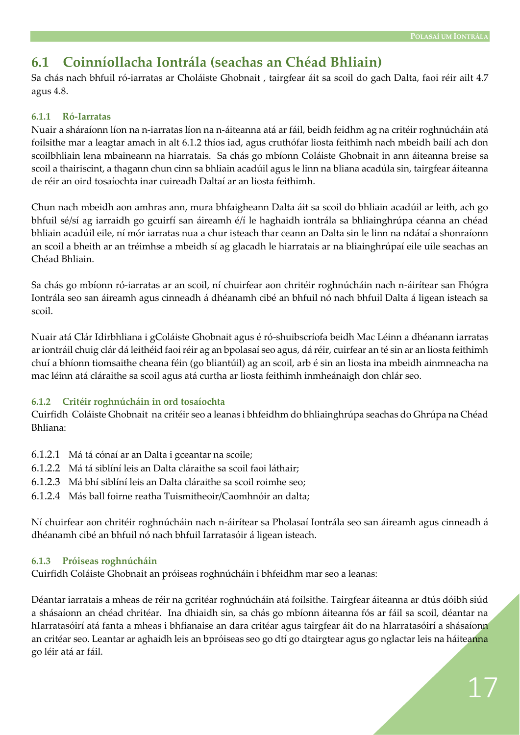### **6.1 Coinníollacha Iontrála (seachas an Chéad Bhliain)**

Sa chás nach bhfuil ró-iarratas ar Choláiste Ghobnait , tairgfear áit sa scoil do gach Dalta, faoi réir ailt 4.7 agus 4.8.

#### **6.1.1 Ró-Iarratas**

Nuair a sháraíonn líon na n-iarratas líon na n-áiteanna atá ar fáil, beidh feidhm ag na critéir roghnúcháin atá foilsithe mar a leagtar amach in alt 6.1.2 thíos iad, agus cruthófar liosta feithimh nach mbeidh bailí ach don scoilbhliain lena mbaineann na hiarratais. Sa chás go mbíonn Coláiste Ghobnait in ann áiteanna breise sa scoil a thairiscint, a thagann chun cinn sa bhliain acadúil agus le linn na bliana acadúla sin, tairgfear áiteanna de réir an oird tosaíochta inar cuireadh Daltaí ar an liosta feithimh.

Chun nach mbeidh aon amhras ann, mura bhfaigheann Dalta áit sa scoil do bhliain acadúil ar leith, ach go bhfuil sé/sí ag iarraidh go gcuirfí san áireamh é/í le haghaidh iontrála sa bhliainghrúpa céanna an chéad bhliain acadúil eile, ní mór iarratas nua a chur isteach thar ceann an Dalta sin le linn na ndátaí a shonraíonn an scoil a bheith ar an tréimhse a mbeidh sí ag glacadh le hiarratais ar na bliainghrúpaí eile uile seachas an Chéad Bhliain.

Sa chás go mbíonn ró-iarratas ar an scoil, ní chuirfear aon chritéir roghnúcháin nach n-áirítear san Fhógra Iontrála seo san áireamh agus cinneadh á dhéanamh cibé an bhfuil nó nach bhfuil Dalta á ligean isteach sa scoil.

Nuair atá Clár Idirbhliana i gColáiste Ghobnait agus é ró-shuibscríofa beidh Mac Léinn a dhéanann iarratas ar iontráil chuig clár dá leithéid faoi réir ag an bpolasaí seo agus, dá réir, cuirfear an té sin ar an liosta feithimh chuí a bhíonn tiomsaithe cheana féin (go bliantúil) ag an scoil, arb é sin an liosta ina mbeidh ainmneacha na mac léinn atá cláraithe sa scoil agus atá curtha ar liosta feithimh inmheánaigh don chlár seo.

#### **6.1.2 Critéir roghnúcháin in ord tosaíochta**

Cuirfidh Coláiste Ghobnait na critéir seo a leanas i bhfeidhm do bhliainghrúpa seachas do Ghrúpa na Chéad Bhliana:

- 6.1.2.1 Má tá cónaí ar an Dalta i gceantar na scoile;
- 6.1.2.2 Má tá siblíní leis an Dalta cláraithe sa scoil faoi láthair;
- 6.1.2.3 Má bhí siblíní leis an Dalta cláraithe sa scoil roimhe seo;
- 6.1.2.4 Más ball foirne reatha Tuismitheoir/Caomhnóir an dalta;

Ní chuirfear aon chritéir roghnúcháin nach n-áirítear sa Pholasaí Iontrála seo san áireamh agus cinneadh á dhéanamh cibé an bhfuil nó nach bhfuil Iarratasóir á ligean isteach.

#### **6.1.3 Próiseas roghnúcháin**

Cuirfidh Coláiste Ghobnait an próiseas roghnúcháin i bhfeidhm mar seo a leanas:

Déantar iarratais a mheas de réir na gcritéar roghnúcháin atá foilsithe. Tairgfear áiteanna ar dtús dóibh siúd a shásaíonn an chéad chritéar. Ina dhiaidh sin, sa chás go mbíonn áiteanna fós ar fáil sa scoil, déantar na hIarratasóirí atá fanta a mheas i bhfianaise an dara critéar agus tairgfear áit do na hIarratasóirí a shásaíonn an critéar seo. Leantar ar aghaidh leis an bpróiseas seo go dtí go dtairgtear agus go nglactar leis na háiteanna go léir atá ar fáil.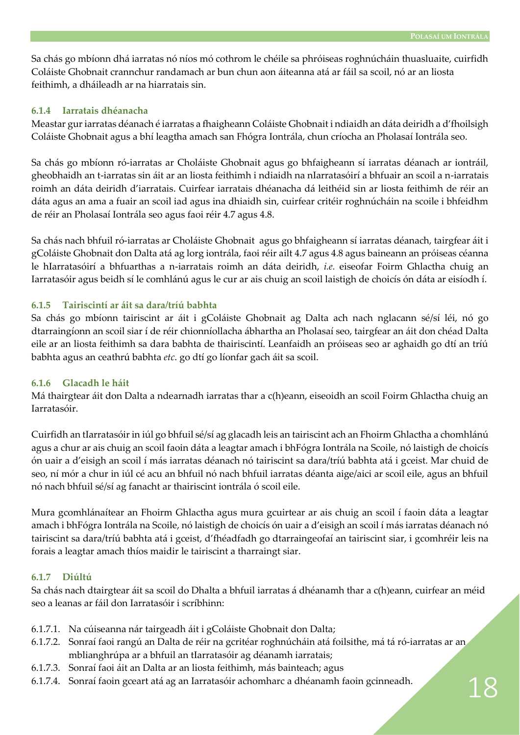Sa chás go mbíonn dhá iarratas nó níos mó cothrom le chéile sa phróiseas roghnúcháin thuasluaite, cuirfidh Coláiste Ghobnait crannchur randamach ar bun chun aon áiteanna atá ar fáil sa scoil, nó ar an liosta feithimh, a dháileadh ar na hiarratais sin.

#### **6.1.4 Iarratais dhéanacha**

Meastar gur iarratas déanach é iarratas a fhaigheann Coláiste Ghobnait i ndiaidh an dáta deiridh a d'fhoilsigh Coláiste Ghobnait agus a bhí leagtha amach san Fhógra Iontrála, chun críocha an Pholasaí Iontrála seo.

Sa chás go mbíonn ró-iarratas ar Choláiste Ghobnait agus go bhfaigheann sí iarratas déanach ar iontráil, gheobhaidh an t-iarratas sin áit ar an liosta feithimh i ndiaidh na nIarratasóirí a bhfuair an scoil a n-iarratais roimh an dáta deiridh d'iarratais. Cuirfear iarratais dhéanacha dá leithéid sin ar liosta feithimh de réir an dáta agus an ama a fuair an scoil iad agus ina dhiaidh sin, cuirfear critéir roghnúcháin na scoile i bhfeidhm de réir an Pholasaí Iontrála seo agus faoi réir 4.7 agus 4.8.

Sa chás nach bhfuil ró-iarratas ar Choláiste Ghobnait agus go bhfaigheann sí iarratas déanach, tairgfear áit i gColáiste Ghobnait don Dalta atá ag lorg iontrála, faoi réir ailt 4.7 agus 4.8 agus baineann an próiseas céanna le hIarratasóirí a bhfuarthas a n-iarratais roimh an dáta deiridh, *i.e.* eiseofar Foirm Ghlactha chuig an Iarratasóir agus beidh sí le comhlánú agus le cur ar ais chuig an scoil laistigh de choicís ón dáta ar eisíodh í.

#### **6.1.5 Tairiscintí ar áit sa dara/tríú babhta**

Sa chás go mbíonn tairiscint ar áit i gColáiste Ghobnait ag Dalta ach nach nglacann sé/sí léi, nó go dtarraingíonn an scoil siar í de réir chionníollacha ábhartha an Pholasaí seo, tairgfear an áit don chéad Dalta eile ar an liosta feithimh sa dara babhta de thairiscintí. Leanfaidh an próiseas seo ar aghaidh go dtí an tríú babhta agus an ceathrú babhta *etc*. go dtí go líonfar gach áit sa scoil.

#### **6.1.6 Glacadh le háit**

Má thairgtear áit don Dalta a ndearnadh iarratas thar a c(h)eann, eiseoidh an scoil Foirm Ghlactha chuig an Iarratasóir.

Cuirfidh an tIarratasóir in iúl go bhfuil sé/sí ag glacadh leis an tairiscint ach an Fhoirm Ghlactha a chomhlánú agus a chur ar ais chuig an scoil faoin dáta a leagtar amach i bhFógra Iontrála na Scoile, nó laistigh de choicís ón uair a d'eisigh an scoil í más iarratas déanach nó tairiscint sa dara/tríú babhta atá i gceist. Mar chuid de seo, ní mór a chur in iúl cé acu an bhfuil nó nach bhfuil iarratas déanta aige/aici ar scoil eile, agus an bhfuil nó nach bhfuil sé/sí ag fanacht ar thairiscint iontrála ó scoil eile.

Mura gcomhlánaítear an Fhoirm Ghlactha agus mura gcuirtear ar ais chuig an scoil í faoin dáta a leagtar amach i bhFógra Iontrála na Scoile, nó laistigh de choicís ón uair a d'eisigh an scoil í más iarratas déanach nó tairiscint sa dara/tríú babhta atá i gceist, d'fhéadfadh go dtarraingeofaí an tairiscint siar, i gcomhréir leis na forais a leagtar amach thíos maidir le tairiscint a tharraingt siar.

#### **6.1.7 Diúltú**

Sa chás nach dtairgtear áit sa scoil do Dhalta a bhfuil iarratas á dhéanamh thar a c(h)eann, cuirfear an méid seo a leanas ar fáil don Iarratasóir i scríbhinn:

- 6.1.7.1. Na cúiseanna nár tairgeadh áit i gColáiste Ghobnait don Dalta;
- 6.1.7.2. Sonraí faoi rangú an Dalta de réir na gcritéar roghnúcháin atá foilsithe, má tá ró-iarratas ar an mblianghrúpa ar a bhfuil an tIarratasóir ag déanamh iarratais;
- 6.1.7.3. Sonraí faoi áit an Dalta ar an liosta feithimh, más bainteach; agus
- 6.1.7.4. Sonraí faoin gceart atá ag an Iarratasóir achomharc a dhéanamh faoin gcinneadh.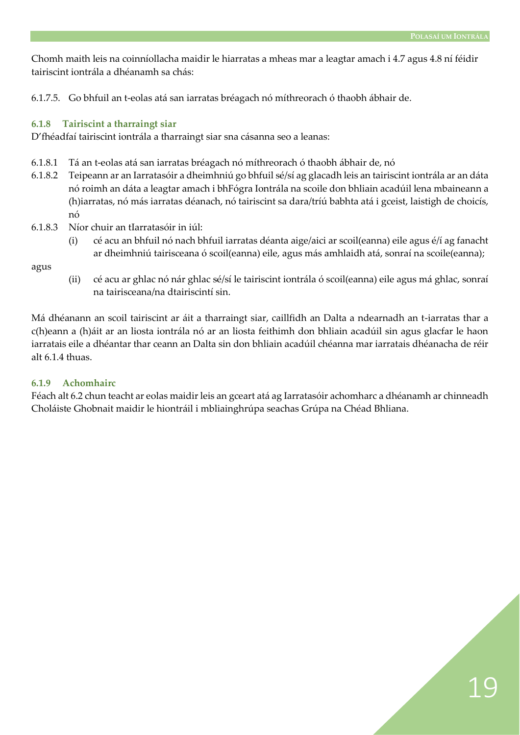Chomh maith leis na coinníollacha maidir le hiarratas a mheas mar a leagtar amach i 4.7 agus 4.8 ní féidir tairiscint iontrála a dhéanamh sa chás:

6.1.7.5. Go bhfuil an t-eolas atá san iarratas bréagach nó míthreorach ó thaobh ábhair de.

#### **6.1.8 Tairiscint a tharraingt siar**

D'fhéadfaí tairiscint iontrála a tharraingt siar sna cásanna seo a leanas:

- 6.1.8.1 Tá an t-eolas atá san iarratas bréagach nó míthreorach ó thaobh ábhair de, nó
- 6.1.8.2 Teipeann ar an Iarratasóir a dheimhniú go bhfuil sé/sí ag glacadh leis an tairiscint iontrála ar an dáta nó roimh an dáta a leagtar amach i bhFógra Iontrála na scoile don bhliain acadúil lena mbaineann a (h)iarratas, nó más iarratas déanach, nó tairiscint sa dara/tríú babhta atá i gceist, laistigh de choicís, nó
- 6.1.8.3 Níor chuir an tIarratasóir in iúl:
	- (i) cé acu an bhfuil nó nach bhfuil iarratas déanta aige/aici ar scoil(eanna) eile agus é/í ag fanacht ar dheimhniú tairisceana ó scoil(eanna) eile, agus más amhlaidh atá, sonraí na scoile(eanna);

agus

(ii) cé acu ar ghlac nó nár ghlac sé/sí le tairiscint iontrála ó scoil(eanna) eile agus má ghlac, sonraí na tairisceana/na dtairiscintí sin.

Má dhéanann an scoil tairiscint ar áit a tharraingt siar, caillfidh an Dalta a ndearnadh an t-iarratas thar a c(h)eann a (h)áit ar an liosta iontrála nó ar an liosta feithimh don bhliain acadúil sin agus glacfar le haon iarratais eile a dhéantar thar ceann an Dalta sin don bhliain acadúil chéanna mar iarratais dhéanacha de réir alt  $6.1.4$  thuas.

#### **6.1.9 Achomhairc**

Féach alt 6.2 chun teacht ar eolas maidir leis an gceart atá ag Iarratasóir achomharc a dhéanamh ar chinneadh Choláiste Ghobnait maidir le hiontráil i mbliainghrúpa seachas Grúpa na Chéad Bhliana.